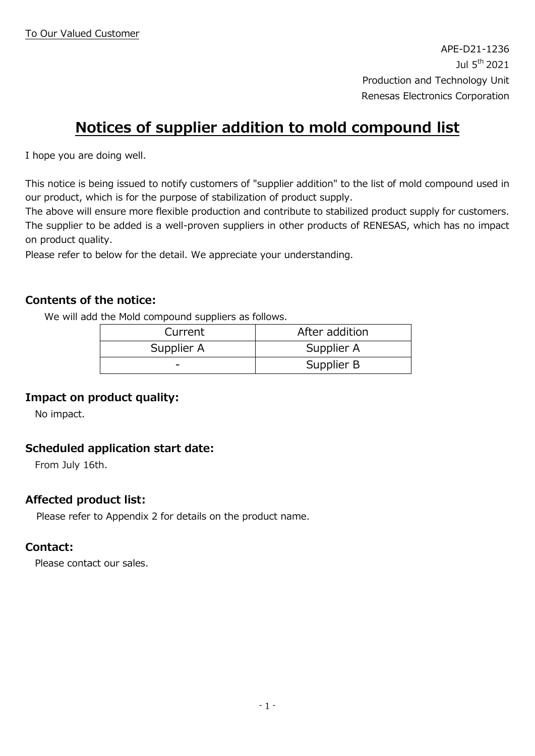# **Notices of supplier addition to mold compound list**

I hope you are doing well.

This notice is being issued to notify customers of "supplier addition" to the list of mold compound used in our product, which is for the purpose of stabilization of product supply.

The above will ensure more flexible production and contribute to stabilized product supply for customers. The supplier to be added is a well-proven suppliers in other products of RENESAS, which has no impact on product quality.

Please refer to below for the detail. We appreciate your understanding.

### **Contents of the notice:**

We will add the Mold compound suppliers as follows.

| Current    | After addition |
|------------|----------------|
| Supplier A | Supplier A     |
|            | Supplier B     |

### **Impact on product quality:**

No impact.

## **Scheduled application start date:**

From July 16th.

## **Affected product list:**

Please refer to Appendix 2 for details on the product name.

### **Contact:**

Please contact our sales.